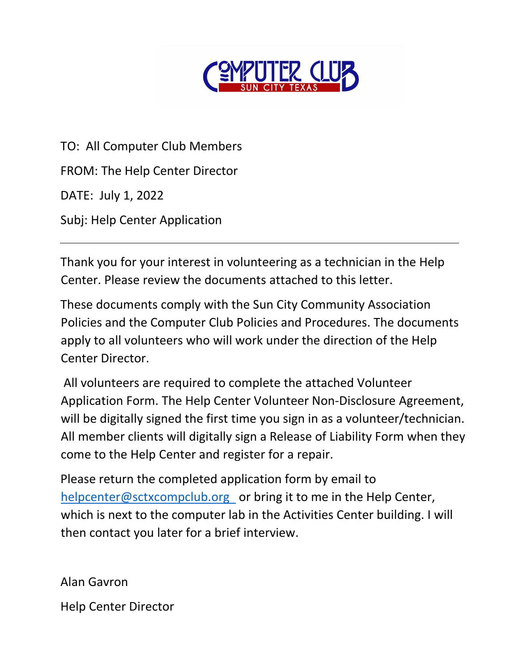

TO: All Computer Club Members FROM: The Help Center Director DATE: July 1, 2022 Subj: Help Center Application

Thank you for your interest in volunteering as a technician in the Help Center. Please review the documents attached to this letter.

These documents comply with the Sun City Community Association Policies and the Computer Club Policies and Procedures. The documents apply to all volunteers who will work under the direction of the Help Center Director.

All volunteers are required to complete the attached Volunteer Application Form. The Help Center Volunteer Non-Disclosure Agreement, will be digitally signed the first time you sign in as a volunteer/technician. All member clients will digitally sign a Release of Liability Form when they come to the Help Center and register for a repair.

Please return the completed application form by email to helpcenter@sctxcompclub.org or bring it to me in the Help Center, which is next to the computer lab in the Activities Center building. I will then contact you later for a brief interview.

Alan Gavron

Help Center Director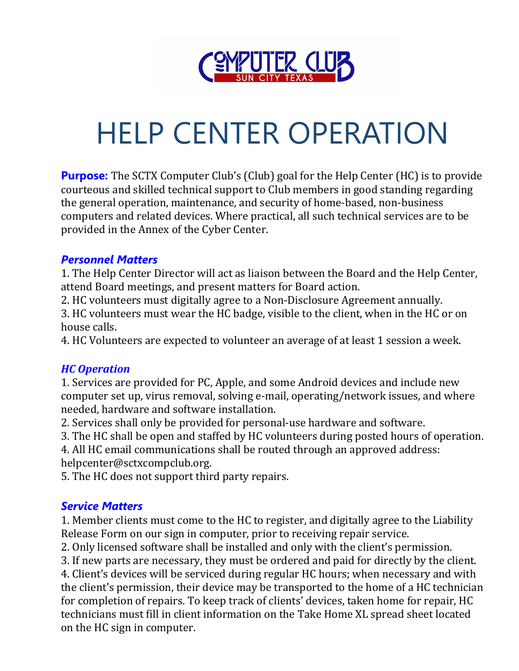

# HELP CENTER OPERATION

**Purpose:** The SCTX Computer Club's (Club) goal for the Help Center (HC) is to provide courteous and skilled technical support to Club members in good standing regarding the general operation, maintenance, and security of home-based, non-business computers and related devices. Where practical, all such technical services are to be provided in the Annex of the Cyber Center.

### *Personnel Matters*

1. The Help Center Director will act as liaison between the Board and the Help Center, attend Board meetings, and present matters for Board action.

2. HC volunteers must digitally agree to a Non-Disclosure Agreement annually.

3. HC volunteers must wear the HC badge, visible to the client, when in the HC or on house calls.

4. HC Volunteers are expected to volunteer an average of at least 1 session a week.

#### *HC Operation*

1. Services are provided for PC, Apple, and some Android devices and include new computer set up, virus removal, solving e-mail, operating/network issues, and where needed, hardware and software installation.

2. Services shall only be provided for personal-use hardware and software.

3. The HC shall be open and staffed by HC volunteers during posted hours of operation.

4. All HC email communications shall be routed through an approved address: helpcenter@sctxcompclub.org.

5. The HC does not support third party repairs.

## *Service Matters*

1. Member clients must come to the HC to register, and digitally agree to the Liability Release Form on our sign in computer, prior to receiving repair service.

2. Only licensed software shall be installed and only with the client's permission.

3. If new parts are necessary, they must be ordered and paid for directly by the client.

4. Client's devices will be serviced during regular HC hours; when necessary and with the client's permission, their device may be transported to the home of a HC technician for completion of repairs. To keep track of clients' devices, taken home for repair, HC technicians must fill in client information on the Take Home XL spread sheet located on the HC sign in computer.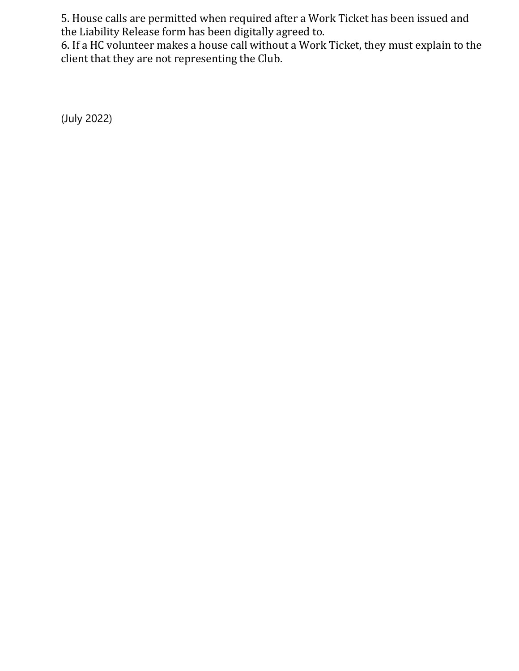5. House calls are permitted when required after a Work Ticket has been issued and the Liability Release form has been digitally agreed to.

6. If a HC volunteer makes a house call without a Work Ticket, they must explain to the client that they are not representing the Club.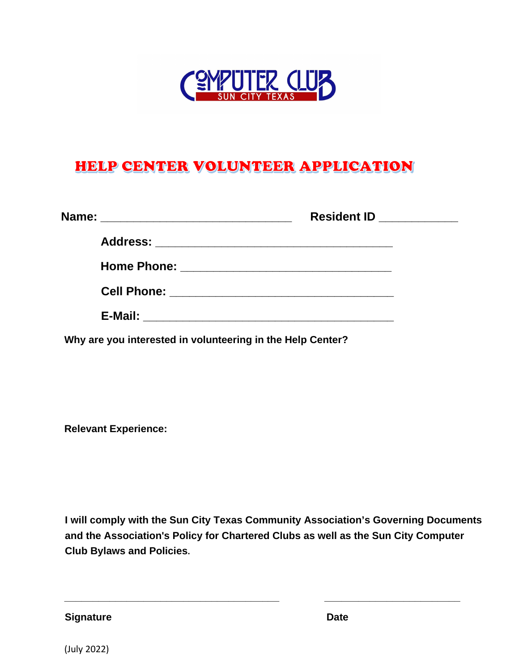

# HELP CENTER VOLUNTEER APPLICATION

|                                                            | Resident ID ___________ |  |
|------------------------------------------------------------|-------------------------|--|
|                                                            |                         |  |
|                                                            |                         |  |
|                                                            |                         |  |
|                                                            |                         |  |
| Why are you interested in volunteering in the Help Center? |                         |  |

**Relevant Experience:** 

**I will comply with the Sun City Texas Community Association's Governing Documents and the Association's Policy for Chartered Clubs as well as the Sun City Computer Club Bylaws and Policies.** 

**\_\_\_\_\_\_\_\_\_\_\_\_\_\_\_\_\_\_\_\_\_\_\_\_\_\_\_\_\_\_\_\_\_\_\_\_\_\_ \_\_\_\_\_\_\_\_\_\_\_\_\_\_\_\_\_\_\_\_\_\_\_\_** 

**Signature Date**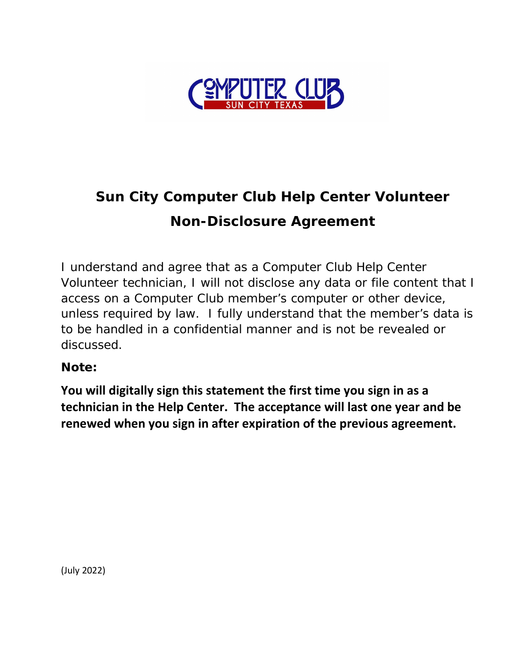

# **Sun City Computer Club Help Center Volunteer Non-Disclosure Agreement**

I understand and agree that as a Computer Club Help Center Volunteer technician, I will not disclose any data or file content that I access on a Computer Club member's computer or other device, unless required by law. I fully understand that the member's data is to be handled in a confidential manner and is not be revealed or discussed.

## **Note:**

**You will digitally sign this statement the first time you sign in as a technician in the Help Center. The acceptance will last one year and be renewed when you sign in after expiration of the previous agreement.**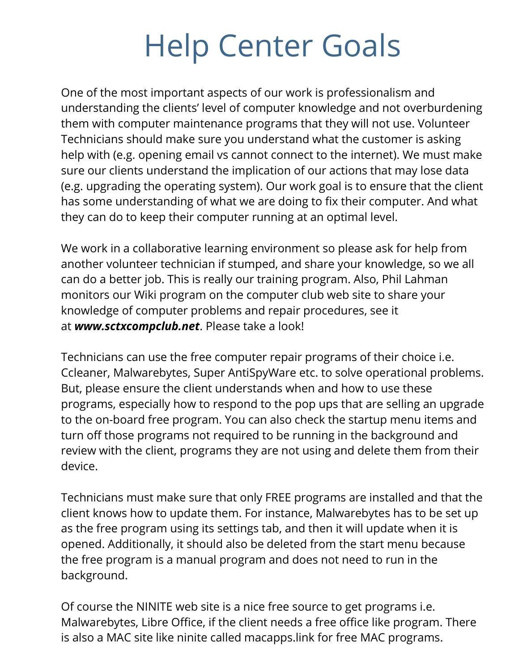# Help Center Goals

One of the most important aspects of our work is professionalism and understanding the clients' level of computer knowledge and not overburdening them with computer maintenance programs that they will not use. Volunteer Technicians should make sure you understand what the customer is asking help with (e.g. opening email vs cannot connect to the internet). We must make sure our clients understand the implication of our actions that may lose data (e.g. upgrading the operating system). Our work goal is to ensure that the client has some understanding of what we are doing to fix their computer. And what they can do to keep their computer running at an optimal level.

We work in a collaborative learning environment so please ask for help from another volunteer technician if stumped, and share your knowledge, so we all can do a better job. This is really our training program. Also, Phil Lahman monitors our Wiki program on the computer club web site to share your knowledge of computer problems and repair procedures, see it at *[www.sctxcompclub.net](http://www.sctxcompclub.net/)*. Please take a look!

Technicians can use the free computer repair programs of their choice i.e. Ccleaner, Malwarebytes, Super AntiSpyWare etc. to solve operational problems. But, please ensure the client understands when and how to use these programs, especially how to respond to the pop ups that are selling an upgrade to the on-board free program. You can also check the startup menu items and turn off those programs not required to be running in the background and review with the client, programs they are not using and delete them from their device.

Technicians must make sure that only FREE programs are installed and that the client knows how to update them. For instance, Malwarebytes has to be set up as the free program using its settings tab, and then it will update when it is opened. Additionally, it should also be deleted from the start menu because the free program is a manual program and does not need to run in the background.

Of course the NINITE web site is a nice free source to get programs i.e. Malwarebytes, Libre Office, if the client needs a free office like program. There is also a MAC site like ninite called macapps.link for free MAC programs.